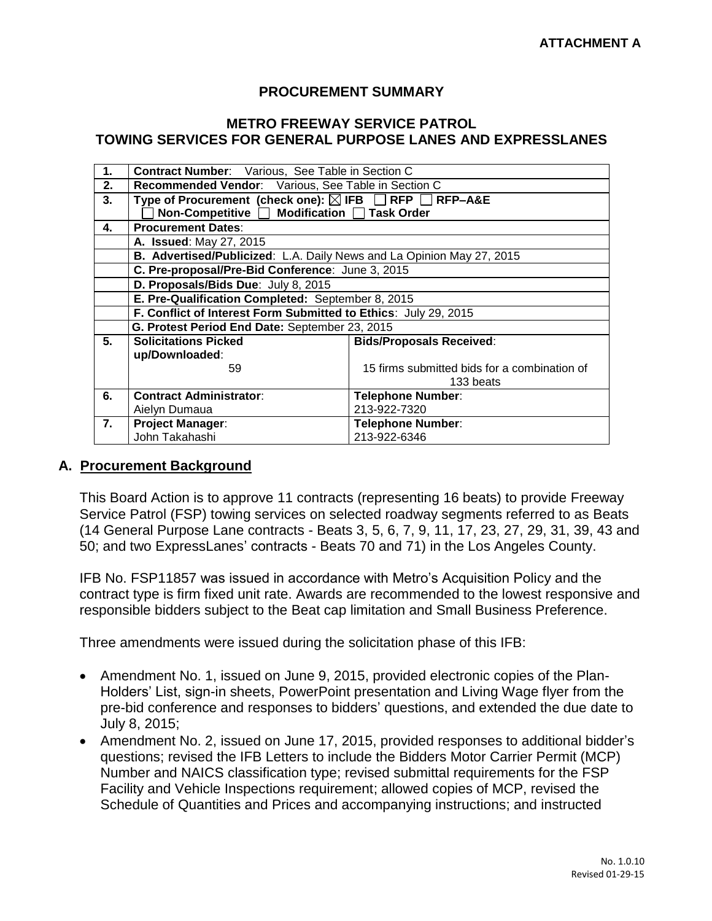### **PROCUREMENT SUMMARY**

### **METRO FREEWAY SERVICE PATROL TOWING SERVICES FOR GENERAL PURPOSE LANES AND EXPRESSLANES**

| 1. | <b>Contract Number:</b> Various, See Table in Section C               |                                              |  |  |  |
|----|-----------------------------------------------------------------------|----------------------------------------------|--|--|--|
| 2. | Recommended Vendor: Various, See Table in Section C                   |                                              |  |  |  |
| 3. | Type of Procurement (check one): ⊠ IFB RFP RFP-A&E                    |                                              |  |  |  |
|    | Non-Competitive □ Modification □ Task Order                           |                                              |  |  |  |
| 4. | <b>Procurement Dates:</b>                                             |                                              |  |  |  |
|    | A. Issued: May 27, 2015                                               |                                              |  |  |  |
|    | B. Advertised/Publicized: L.A. Daily News and La Opinion May 27, 2015 |                                              |  |  |  |
|    | C. Pre-proposal/Pre-Bid Conference: June 3, 2015                      |                                              |  |  |  |
|    | D. Proposals/Bids Due: July 8, 2015                                   |                                              |  |  |  |
|    | E. Pre-Qualification Completed: September 8, 2015                     |                                              |  |  |  |
|    | F. Conflict of Interest Form Submitted to Ethics: July 29, 2015       |                                              |  |  |  |
|    | G. Protest Period End Date: September 23, 2015                        |                                              |  |  |  |
| 5. | <b>Solicitations Picked</b>                                           | <b>Bids/Proposals Received:</b>              |  |  |  |
|    | up/Downloaded:                                                        |                                              |  |  |  |
|    | 59                                                                    | 15 firms submitted bids for a combination of |  |  |  |
|    |                                                                       | 133 beats                                    |  |  |  |
| 6. | <b>Contract Administrator:</b>                                        | <b>Telephone Number:</b>                     |  |  |  |
|    | Aielyn Dumaua                                                         | 213-922-7320                                 |  |  |  |
| 7. | <b>Project Manager:</b>                                               | <b>Telephone Number:</b>                     |  |  |  |
|    | John Takahashi                                                        | 213-922-6346                                 |  |  |  |

#### **A. Procurement Background**

This Board Action is to approve 11 contracts (representing 16 beats) to provide Freeway Service Patrol (FSP) towing services on selected roadway segments referred to as Beats (14 General Purpose Lane contracts - Beats 3, 5, 6, 7, 9, 11, 17, 23, 27, 29, 31, 39, 43 and 50; and two ExpressLanes' contracts - Beats 70 and 71) in the Los Angeles County.

IFB No. FSP11857 was issued in accordance with Metro's Acquisition Policy and the contract type is firm fixed unit rate. Awards are recommended to the lowest responsive and responsible bidders subject to the Beat cap limitation and Small Business Preference.

Three amendments were issued during the solicitation phase of this IFB:

- Amendment No. 1, issued on June 9, 2015, provided electronic copies of the Plan-Holders' List, sign-in sheets, PowerPoint presentation and Living Wage flyer from the pre-bid conference and responses to bidders' questions, and extended the due date to July 8, 2015;
- Amendment No. 2, issued on June 17, 2015, provided responses to additional bidder's questions; revised the IFB Letters to include the Bidders Motor Carrier Permit (MCP) Number and NAICS classification type; revised submittal requirements for the FSP Facility and Vehicle Inspections requirement; allowed copies of MCP, revised the Schedule of Quantities and Prices and accompanying instructions; and instructed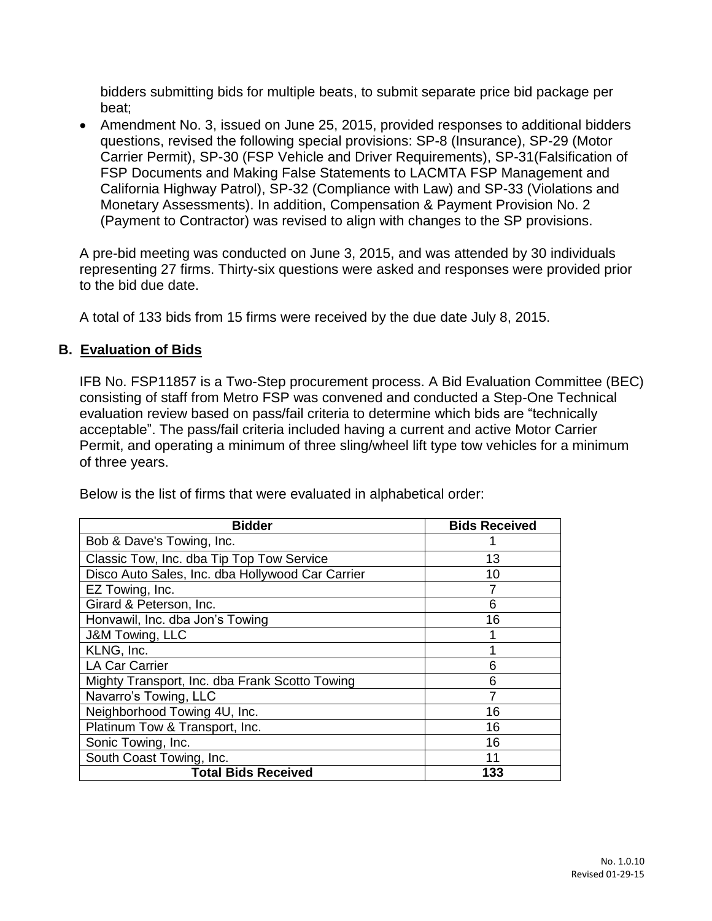bidders submitting bids for multiple beats, to submit separate price bid package per beat;

• Amendment No. 3, issued on June 25, 2015, provided responses to additional bidders questions, revised the following special provisions: SP-8 (Insurance), SP-29 (Motor Carrier Permit), SP-30 (FSP Vehicle and Driver Requirements), SP-31(Falsification of FSP Documents and Making False Statements to LACMTA FSP Management and California Highway Patrol), SP-32 (Compliance with Law) and SP-33 (Violations and Monetary Assessments). In addition, Compensation & Payment Provision No. 2 (Payment to Contractor) was revised to align with changes to the SP provisions.

A pre-bid meeting was conducted on June 3, 2015, and was attended by 30 individuals representing 27 firms. Thirty-six questions were asked and responses were provided prior to the bid due date.

A total of 133 bids from 15 firms were received by the due date July 8, 2015.

## **B. Evaluation of Bids**

IFB No. FSP11857 is a Two-Step procurement process. A Bid Evaluation Committee (BEC) consisting of staff from Metro FSP was convened and conducted a Step-One Technical evaluation review based on pass/fail criteria to determine which bids are "technically acceptable". The pass/fail criteria included having a current and active Motor Carrier Permit, and operating a minimum of three sling/wheel lift type tow vehicles for a minimum of three years.

| <b>Bidder</b>                                    | <b>Bids Received</b> |  |  |  |
|--------------------------------------------------|----------------------|--|--|--|
| Bob & Dave's Towing, Inc.                        |                      |  |  |  |
| Classic Tow, Inc. dba Tip Top Tow Service        | 13                   |  |  |  |
| Disco Auto Sales, Inc. dba Hollywood Car Carrier | 10                   |  |  |  |
| EZ Towing, Inc.                                  |                      |  |  |  |
| Girard & Peterson, Inc.                          | 6                    |  |  |  |
| Honvawil, Inc. dba Jon's Towing                  | 16                   |  |  |  |
| J&M Towing, LLC                                  |                      |  |  |  |
| KLNG, Inc.                                       |                      |  |  |  |
| <b>LA Car Carrier</b>                            | 6                    |  |  |  |
| Mighty Transport, Inc. dba Frank Scotto Towing   | 6                    |  |  |  |
| Navarro's Towing, LLC                            | 7                    |  |  |  |
| Neighborhood Towing 4U, Inc.                     | 16                   |  |  |  |
| Platinum Tow & Transport, Inc.                   | 16                   |  |  |  |
| Sonic Towing, Inc.                               | 16                   |  |  |  |
| South Coast Towing, Inc.                         | 11                   |  |  |  |
| <b>Total Bids Received</b>                       | 133                  |  |  |  |

Below is the list of firms that were evaluated in alphabetical order: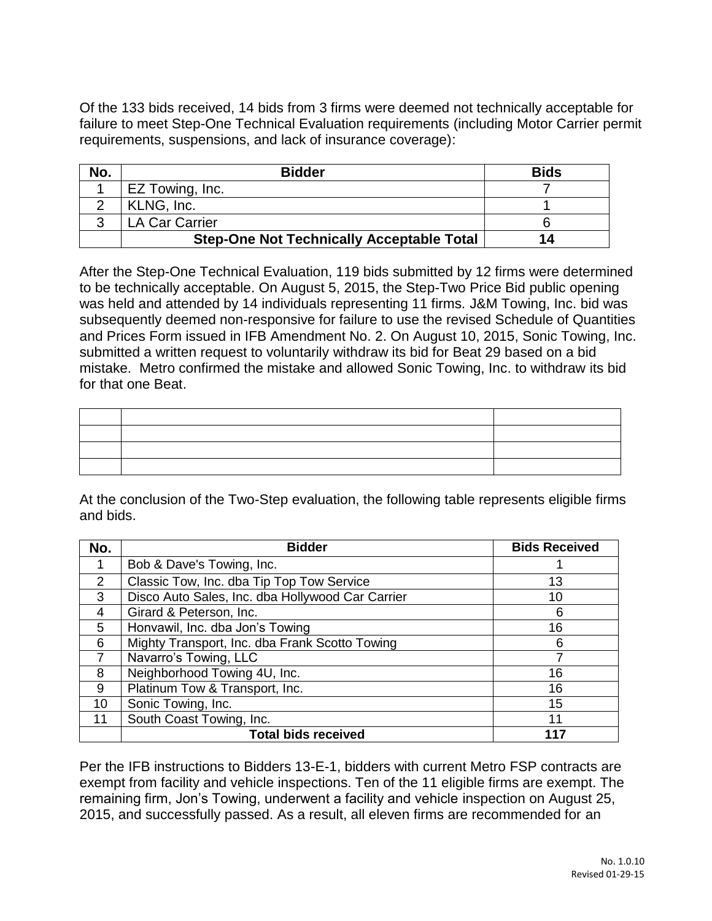Of the 133 bids received, 14 bids from 3 firms were deemed not technically acceptable for failure to meet Step-One Technical Evaluation requirements (including Motor Carrier permit requirements, suspensions, and lack of insurance coverage):

| No. | <b>Bidder</b>                                    | <b>Bids</b> |
|-----|--------------------------------------------------|-------------|
|     | EZ Towing, Inc.                                  |             |
|     | KLNG, Inc.                                       |             |
|     | <b>LA Car Carrier</b>                            |             |
|     | <b>Step-One Not Technically Acceptable Total</b> | 14          |

After the Step-One Technical Evaluation, 119 bids submitted by 12 firms were determined to be technically acceptable. On August 5, 2015, the Step-Two Price Bid public opening was held and attended by 14 individuals representing 11 firms. J&M Towing, Inc. bid was subsequently deemed non-responsive for failure to use the revised Schedule of Quantities and Prices Form issued in IFB Amendment No. 2. On August 10, 2015, Sonic Towing, Inc. submitted a written request to voluntarily withdraw its bid for Beat 29 based on a bid mistake. Metro confirmed the mistake and allowed Sonic Towing, Inc. to withdraw its bid for that one Beat.

At the conclusion of the Two-Step evaluation, the following table represents eligible firms and bids.

| No. | <b>Bidder</b>                                    | <b>Bids Received</b> |  |  |  |
|-----|--------------------------------------------------|----------------------|--|--|--|
|     | Bob & Dave's Towing, Inc.                        |                      |  |  |  |
| 2   | Classic Tow, Inc. dba Tip Top Tow Service        | 13                   |  |  |  |
| 3   | Disco Auto Sales, Inc. dba Hollywood Car Carrier | 10                   |  |  |  |
| 4   | Girard & Peterson, Inc.                          | 6                    |  |  |  |
| 5   | Honvawil, Inc. dba Jon's Towing                  | 16                   |  |  |  |
| 6   | Mighty Transport, Inc. dba Frank Scotto Towing   | 6                    |  |  |  |
| 7   | Navarro's Towing, LLC                            |                      |  |  |  |
| 8   | Neighborhood Towing 4U, Inc.                     | 16                   |  |  |  |
| 9   | Platinum Tow & Transport, Inc.                   | 16                   |  |  |  |
| 10  | Sonic Towing, Inc.                               | 15                   |  |  |  |
| 11  | South Coast Towing, Inc.                         | 11                   |  |  |  |
|     | <b>Total bids received</b>                       |                      |  |  |  |

Per the IFB instructions to Bidders 13-E-1, bidders with current Metro FSP contracts are exempt from facility and vehicle inspections. Ten of the 11 eligible firms are exempt. The remaining firm, Jon's Towing, underwent a facility and vehicle inspection on August 25, 2015, and successfully passed. As a result, all eleven firms are recommended for an